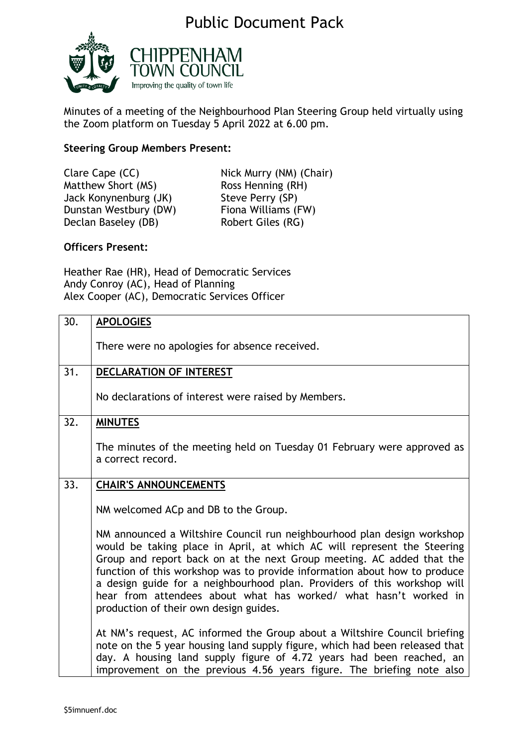## Public Document Pack



Minutes of a meeting of the Neighbourhood Plan Steering Group held virtually using the Zoom platform on Tuesday 5 April 2022 at 6.00 pm.

## **Steering Group Members Present:**

| Clare Cape (CC)       | Nick Murry (NM) (Chair) |
|-----------------------|-------------------------|
| Matthew Short (MS)    | Ross Henning (RH)       |
| Jack Konynenburg (JK) | Steve Perry (SP)        |
| Dunstan Westbury (DW) | Fiona Williams (FW)     |
| Declan Baseley (DB)   | Robert Giles (RG)       |
|                       |                         |

## **Officers Present:**

Heather Rae (HR), Head of Democratic Services Andy Conroy (AC), Head of Planning Alex Cooper (AC), Democratic Services Officer

| 30. | <b>APOLOGIES</b>                                                                                                                                                                                                                                                                                                                                                                                                                                                                                   |
|-----|----------------------------------------------------------------------------------------------------------------------------------------------------------------------------------------------------------------------------------------------------------------------------------------------------------------------------------------------------------------------------------------------------------------------------------------------------------------------------------------------------|
|     | There were no apologies for absence received.                                                                                                                                                                                                                                                                                                                                                                                                                                                      |
| 31. | <b>DECLARATION OF INTEREST</b>                                                                                                                                                                                                                                                                                                                                                                                                                                                                     |
|     | No declarations of interest were raised by Members.                                                                                                                                                                                                                                                                                                                                                                                                                                                |
| 32. | <b>MINUTES</b>                                                                                                                                                                                                                                                                                                                                                                                                                                                                                     |
|     | The minutes of the meeting held on Tuesday 01 February were approved as<br>a correct record.                                                                                                                                                                                                                                                                                                                                                                                                       |
| 33. | <b>CHAIR'S ANNOUNCEMENTS</b>                                                                                                                                                                                                                                                                                                                                                                                                                                                                       |
|     | NM welcomed ACp and DB to the Group.                                                                                                                                                                                                                                                                                                                                                                                                                                                               |
|     | NM announced a Wiltshire Council run neighbourhood plan design workshop<br>would be taking place in April, at which AC will represent the Steering<br>Group and report back on at the next Group meeting. AC added that the<br>function of this workshop was to provide information about how to produce<br>a design guide for a neighbourhood plan. Providers of this workshop will<br>hear from attendees about what has worked/ what hasn't worked in<br>production of their own design guides. |
|     | At NM's request, AC informed the Group about a Wiltshire Council briefing<br>note on the 5 year housing land supply figure, which had been released that<br>day. A housing land supply figure of 4.72 years had been reached, an<br>improvement on the previous 4.56 years figure. The briefing note also                                                                                                                                                                                          |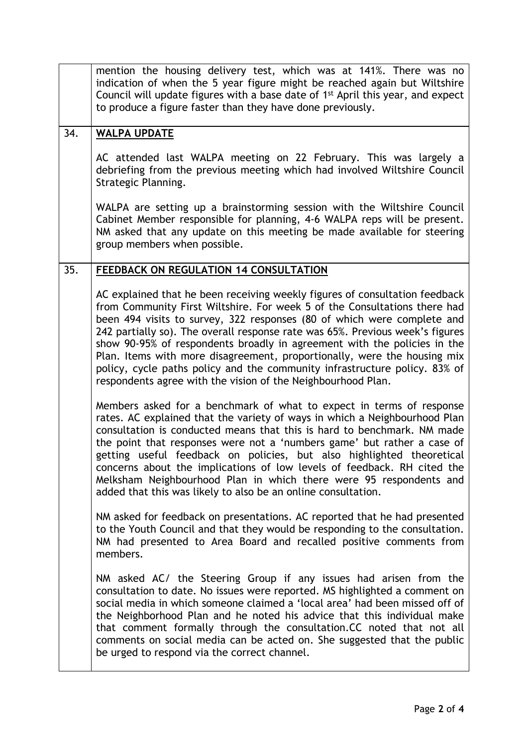|     | mention the housing delivery test, which was at 141%. There was no<br>indication of when the 5 year figure might be reached again but Wiltshire<br>Council will update figures with a base date of 1 <sup>st</sup> April this year, and expect<br>to produce a figure faster than they have done previously.                                                                                                                                                                                                                                                                                                               |
|-----|----------------------------------------------------------------------------------------------------------------------------------------------------------------------------------------------------------------------------------------------------------------------------------------------------------------------------------------------------------------------------------------------------------------------------------------------------------------------------------------------------------------------------------------------------------------------------------------------------------------------------|
| 34. | <b>WALPA UPDATE</b>                                                                                                                                                                                                                                                                                                                                                                                                                                                                                                                                                                                                        |
|     | AC attended last WALPA meeting on 22 February. This was largely a<br>debriefing from the previous meeting which had involved Wiltshire Council<br>Strategic Planning.                                                                                                                                                                                                                                                                                                                                                                                                                                                      |
|     | WALPA are setting up a brainstorming session with the Wiltshire Council<br>Cabinet Member responsible for planning, 4-6 WALPA reps will be present.<br>NM asked that any update on this meeting be made available for steering<br>group members when possible.                                                                                                                                                                                                                                                                                                                                                             |
| 35. | FEEDBACK ON REGULATION 14 CONSULTATION                                                                                                                                                                                                                                                                                                                                                                                                                                                                                                                                                                                     |
|     | AC explained that he been receiving weekly figures of consultation feedback<br>from Community First Wiltshire. For week 5 of the Consultations there had<br>been 494 visits to survey, 322 responses (80 of which were complete and<br>242 partially so). The overall response rate was 65%. Previous week's figures<br>show 90-95% of respondents broadly in agreement with the policies in the<br>Plan. Items with more disagreement, proportionally, were the housing mix<br>policy, cycle paths policy and the community infrastructure policy. 83% of<br>respondents agree with the vision of the Neighbourhood Plan. |
|     | Members asked for a benchmark of what to expect in terms of response<br>rates. AC explained that the variety of ways in which a Neighbourhood Plan<br>consultation is conducted means that this is hard to benchmark. NM made<br>the point that responses were not a 'numbers game' but rather a case of<br>getting useful feedback on policies, but also highlighted theoretical<br>concerns about the implications of low levels of feedback. RH cited the<br>Melksham Neighbourhood Plan in which there were 95 respondents and<br>added that this was likely to also be an online consultation.                        |
|     | NM asked for feedback on presentations. AC reported that he had presented<br>to the Youth Council and that they would be responding to the consultation.<br>NM had presented to Area Board and recalled positive comments from<br>members.                                                                                                                                                                                                                                                                                                                                                                                 |
|     | NM asked AC/ the Steering Group if any issues had arisen from the<br>consultation to date. No issues were reported. MS highlighted a comment on<br>social media in which someone claimed a 'local area' had been missed off of<br>the Neighborhood Plan and he noted his advice that this individual make<br>that comment formally through the consultation.CC noted that not all<br>comments on social media can be acted on. She suggested that the public<br>be urged to respond via the correct channel.                                                                                                               |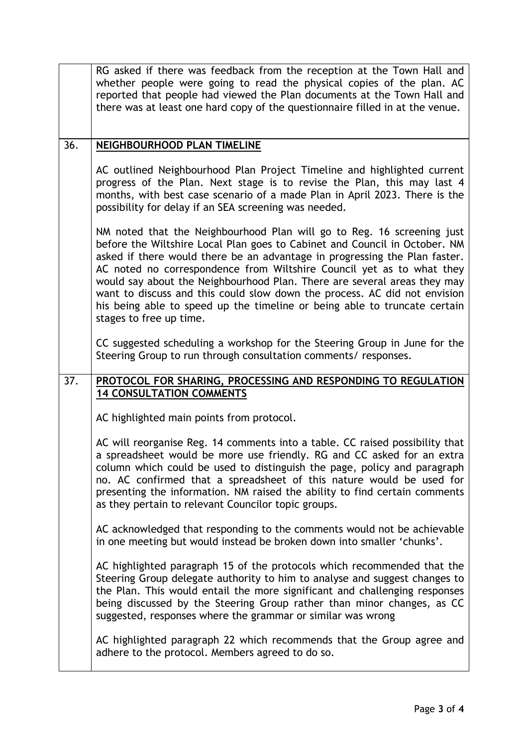|     | RG asked if there was feedback from the reception at the Town Hall and<br>whether people were going to read the physical copies of the plan. AC<br>reported that people had viewed the Plan documents at the Town Hall and<br>there was at least one hard copy of the questionnaire filled in at the venue.                                                                                                                                                                                                                                                                  |
|-----|------------------------------------------------------------------------------------------------------------------------------------------------------------------------------------------------------------------------------------------------------------------------------------------------------------------------------------------------------------------------------------------------------------------------------------------------------------------------------------------------------------------------------------------------------------------------------|
| 36. | NEIGHBOURHOOD PLAN TIMELINE                                                                                                                                                                                                                                                                                                                                                                                                                                                                                                                                                  |
|     | AC outlined Neighbourhood Plan Project Timeline and highlighted current<br>progress of the Plan. Next stage is to revise the Plan, this may last 4<br>months, with best case scenario of a made Plan in April 2023. There is the<br>possibility for delay if an SEA screening was needed.                                                                                                                                                                                                                                                                                    |
|     | NM noted that the Neighbourhood Plan will go to Reg. 16 screening just<br>before the Wiltshire Local Plan goes to Cabinet and Council in October. NM<br>asked if there would there be an advantage in progressing the Plan faster.<br>AC noted no correspondence from Wiltshire Council yet as to what they<br>would say about the Neighbourhood Plan. There are several areas they may<br>want to discuss and this could slow down the process. AC did not envision<br>his being able to speed up the timeline or being able to truncate certain<br>stages to free up time. |
|     | CC suggested scheduling a workshop for the Steering Group in June for the<br>Steering Group to run through consultation comments/responses.                                                                                                                                                                                                                                                                                                                                                                                                                                  |
|     |                                                                                                                                                                                                                                                                                                                                                                                                                                                                                                                                                                              |
| 37. | PROTOCOL FOR SHARING, PROCESSING AND RESPONDING TO REGULATION                                                                                                                                                                                                                                                                                                                                                                                                                                                                                                                |
|     | <b>14 CONSULTATION COMMENTS</b>                                                                                                                                                                                                                                                                                                                                                                                                                                                                                                                                              |
|     | AC highlighted main points from protocol.                                                                                                                                                                                                                                                                                                                                                                                                                                                                                                                                    |
|     | AC will reorganise Reg. 14 comments into a table. CC raised possibility that<br>a spreadsheet would be more use friendly. RG and CC asked for an extra<br>column which could be used to distinguish the page, policy and paragraph<br>no. AC confirmed that a spreadsheet of this nature would be used for<br>presenting the information. NM raised the ability to find certain comments<br>as they pertain to relevant Councilor topic groups.                                                                                                                              |
|     | AC acknowledged that responding to the comments would not be achievable<br>in one meeting but would instead be broken down into smaller 'chunks'.                                                                                                                                                                                                                                                                                                                                                                                                                            |
|     | AC highlighted paragraph 15 of the protocols which recommended that the<br>Steering Group delegate authority to him to analyse and suggest changes to<br>the Plan. This would entail the more significant and challenging responses<br>being discussed by the Steering Group rather than minor changes, as CC<br>suggested, responses where the grammar or similar was wrong                                                                                                                                                                                                 |